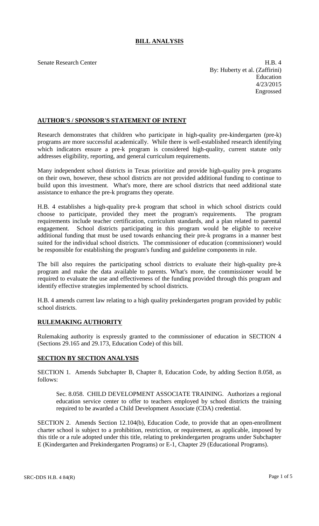# **BILL ANALYSIS**

Senate Research Center **H.B. 4** By: Huberty et al. (Zaffirini) Education 4/23/2015 Engrossed

## **AUTHOR'S / SPONSOR'S STATEMENT OF INTENT**

Research demonstrates that children who participate in high-quality pre-kindergarten (pre-k) programs are more successful academically. While there is well-established research identifying which indicators ensure a pre-k program is considered high-quality, current statute only addresses eligibility, reporting, and general curriculum requirements.

Many independent school districts in Texas prioritize and provide high-quality pre-k programs on their own, however, these school districts are not provided additional funding to continue to build upon this investment. What's more, there are school districts that need additional state assistance to enhance the pre-k programs they operate.

H.B. 4 establishes a high-quality pre-k program that school in which school districts could choose to participate, provided they meet the program's requirements. The program requirements include teacher certification, curriculum standards, and a plan related to parental engagement. School districts participating in this program would be eligible to receive additional funding that must be used towards enhancing their pre-k programs in a manner best suited for the individual school districts. The commissioner of education (commissioner) would be responsible for establishing the program's funding and guideline components in rule.

The bill also requires the participating school districts to evaluate their high-quality pre-k program and make the data available to parents. What's more, the commissioner would be required to evaluate the use and effectiveness of the funding provided through this program and identify effective strategies implemented by school districts.

H.B. 4 amends current law relating to a high quality prekindergarten program provided by public school districts.

## **RULEMAKING AUTHORITY**

Rulemaking authority is expressly granted to the commissioner of education in SECTION 4 (Sections 29.165 and 29.173, Education Code) of this bill.

## **SECTION BY SECTION ANALYSIS**

SECTION 1. Amends Subchapter B, Chapter 8, Education Code, by adding Section 8.058, as follows:

Sec. 8.058. CHILD DEVELOPMENT ASSOCIATE TRAINING. Authorizes a regional education service center to offer to teachers employed by school districts the training required to be awarded a Child Development Associate (CDA) credential.

SECTION 2. Amends Section 12.104(b), Education Code, to provide that an open-enrollment charter school is subject to a prohibition, restriction, or requirement, as applicable, imposed by this title or a rule adopted under this title, relating to prekindergarten programs under Subchapter E (Kindergarten and Prekindergarten Programs) or E-1, Chapter 29 (Educational Programs).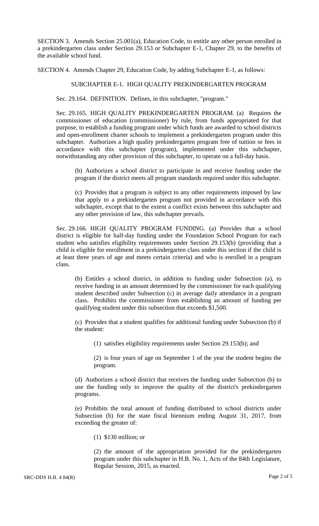SECTION 3. Amends Section 25.001(a), Education Code, to entitle any other person enrolled in a prekindergarten class under Section 29.153 or Subchapter E-1, Chapter 29, to the benefits of the available school fund.

SECTION 4. Amends Chapter 29, Education Code, by adding Subchapter E-1, as follows:

### SUBCHAPTER E-1. HIGH QUALITY PREKINDERGARTEN PROGRAM

Sec. 29.164. DEFINITION. Defines, in this subchapter, "program."

Sec. 29.165. HIGH QUALITY PREKINDERGARTEN PROGRAM. (a) Requires the commissioner of education (commissioner) by rule, from funds appropriated for that purpose, to establish a funding program under which funds are awarded to school districts and open-enrollment charter schools to implement a prekindergarten program under this subchapter. Authorizes a high quality prekindergarten program free of tuition or fees in accordance with this subchapter (program), implemented under this subchapter, notwithstanding any other provision of this subchapter, to operate on a full-day basis.

(b) Authorizes a school district to participate in and receive funding under the program if the district meets all program standards required under this subchapter.

(c) Provides that a program is subject to any other requirements imposed by law that apply to a prekindergarten program not provided in accordance with this subchapter, except that to the extent a conflict exists between this subchapter and any other provision of law, this subchapter prevails.

Sec. 29.166. HIGH QUALITY PROGRAM FUNDING. (a) Provides that a school district is eligible for half-day funding under the Foundation School Program for each student who satisfies eligibility requirements under Section 29.153(b) (providing that a child is eligible for enrollment in a prekindergarten class under this section if the child is at least three years of age and meets certain criteria) and who is enrolled in a program class.

(b) Entitles a school district, in addition to funding under Subsection (a), to receive funding in an amount determined by the commissioner for each qualifying student described under Subsection (c) in average daily attendance in a program class. Prohibits the commissioner from establishing an amount of funding per qualifying student under this subsection that exceeds \$1,500.

(c) Provides that a student qualifies for additional funding under Subsection (b) if the student:

(1) satisfies eligibility requirements under Section 29.153(b); and

(2) is four years of age on September 1 of the year the student begins the program.

(d) Authorizes a school district that receives the funding under Subsection (b) to use the funding only to improve the quality of the district's prekindergarten programs.

(e) Prohibits the total amount of funding distributed to school districts under Subsection (b) for the state fiscal biennium ending August 31, 2017, from exceeding the greater of:

(1) \$130 million; or

(2) the amount of the appropriation provided for the prekindergarten program under this subchapter in H.B. No. 1, Acts of the 84th Legislature, Regular Session, 2015, as enacted.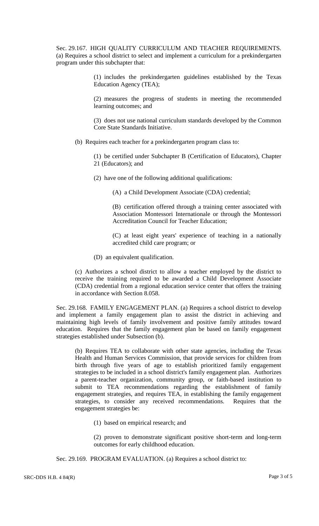Sec. 29.167. HIGH QUALITY CURRICULUM AND TEACHER REQUIREMENTS. (a) Requires a school district to select and implement a curriculum for a prekindergarten program under this subchapter that:

> (1) includes the prekindergarten guidelines established by the Texas Education Agency (TEA);

> (2) measures the progress of students in meeting the recommended learning outcomes; and

> (3) does not use national curriculum standards developed by the Common Core State Standards Initiative.

(b) Requires each teacher for a prekindergarten program class to:

(1) be certified under Subchapter B (Certification of Educators), Chapter 21 (Educators); and

(2) have one of the following additional qualifications:

(A) a Child Development Associate (CDA) credential;

(B) certification offered through a training center associated with Association Montessori Internationale or through the Montessori Accreditation Council for Teacher Education;

(C) at least eight years' experience of teaching in a nationally accredited child care program; or

(D) an equivalent qualification.

(c) Authorizes a school district to allow a teacher employed by the district to receive the training required to be awarded a Child Development Associate (CDA) credential from a regional education service center that offers the training in accordance with Section 8.058.

Sec. 29.168. FAMILY ENGAGEMENT PLAN. (a) Requires a school district to develop and implement a family engagement plan to assist the district in achieving and maintaining high levels of family involvement and positive family attitudes toward education. Requires that the family engagement plan be based on family engagement strategies established under Subsection (b).

(b) Requires TEA to collaborate with other state agencies, including the Texas Health and Human Services Commission, that provide services for children from birth through five years of age to establish prioritized family engagement strategies to be included in a school district's family engagement plan. Authorizes a parent-teacher organization, community group, or faith-based institution to submit to TEA recommendations regarding the establishment of family engagement strategies, and requires TEA, in establishing the family engagement strategies, to consider any received recommendations. Requires that the engagement strategies be:

(1) based on empirical research; and

(2) proven to demonstrate significant positive short-term and long-term outcomes for early childhood education.

Sec. 29.169. PROGRAM EVALUATION. (a) Requires a school district to: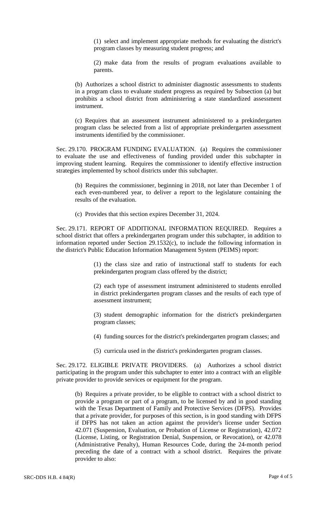(1) select and implement appropriate methods for evaluating the district's program classes by measuring student progress; and

(2) make data from the results of program evaluations available to parents.

(b) Authorizes a school district to administer diagnostic assessments to students in a program class to evaluate student progress as required by Subsection (a) but prohibits a school district from administering a state standardized assessment instrument.

(c) Requires that an assessment instrument administered to a prekindergarten program class be selected from a list of appropriate prekindergarten assessment instruments identified by the commissioner.

Sec. 29.170. PROGRAM FUNDING EVALUATION. (a) Requires the commissioner to evaluate the use and effectiveness of funding provided under this subchapter in improving student learning. Requires the commissioner to identify effective instruction strategies implemented by school districts under this subchapter.

(b) Requires the commissioner, beginning in 2018, not later than December 1 of each even-numbered year, to deliver a report to the legislature containing the results of the evaluation.

(c) Provides that this section expires December 31, 2024.

Sec. 29.171. REPORT OF ADDITIONAL INFORMATION REQUIRED. Requires a school district that offers a prekindergarten program under this subchapter, in addition to information reported under Section 29.1532(c), to include the following information in the district's Public Education Information Management System (PEIMS) report:

> (1) the class size and ratio of instructional staff to students for each prekindergarten program class offered by the district;

> (2) each type of assessment instrument administered to students enrolled in district prekindergarten program classes and the results of each type of assessment instrument;

> (3) student demographic information for the district's prekindergarten program classes;

> (4) funding sources for the district's prekindergarten program classes; and

(5) curricula used in the district's prekindergarten program classes.

Sec. 29.172. ELIGIBLE PRIVATE PROVIDERS. (a) Authorizes a school district participating in the program under this subchapter to enter into a contract with an eligible private provider to provide services or equipment for the program.

(b) Requires a private provider, to be eligible to contract with a school district to provide a program or part of a program, to be licensed by and in good standing with the Texas Department of Family and Protective Services (DFPS). Provides that a private provider, for purposes of this section, is in good standing with DFPS if DFPS has not taken an action against the provider's license under Section 42.071 (Suspension, Evaluation, or Probation of License or Registration), 42.072 (License, Listing, or Registration Denial, Suspension, or Revocation), or 42.078 (Administrative Penalty), Human Resources Code, during the 24-month period preceding the date of a contract with a school district. Requires the private provider to also: